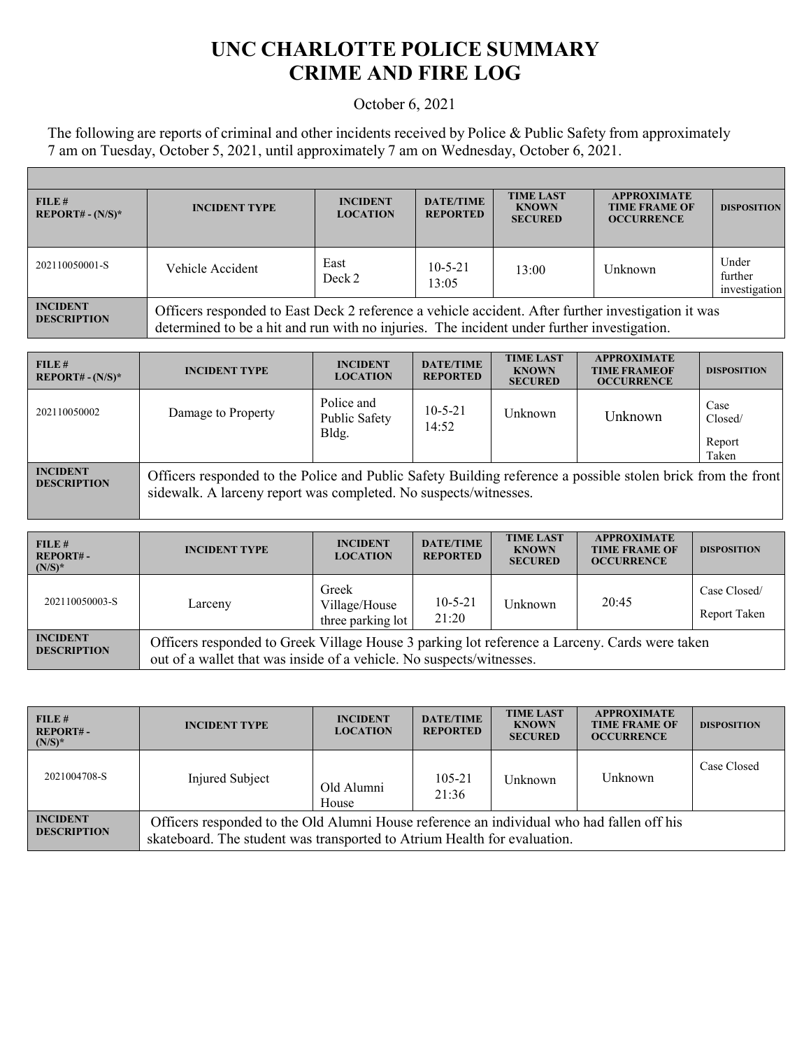## **UNC CHARLOTTE POLICE SUMMARY CRIME AND FIRE LOG**

## October 6, 2021

The following are reports of criminal and other incidents received by Police & Public Safety from approximately 7 am on Tuesday, October 5, 2021, until approximately 7 am on Wednesday, October 6, 2021.

| FILE#<br>$REPORT# - (N/S)*$           | <b>INCIDENT TYPE</b>                                                                                                                                                                             | <b>INCIDENT</b><br><b>LOCATION</b> | <b>DATE/TIME</b><br><b>REPORTED</b> | <b>TIME LAST</b><br><b>KNOWN</b><br><b>SECURED</b> | <b>APPROXIMATE</b><br><b>TIME FRAME OF</b><br><b>OCCURRENCE</b> | <b>DISPOSITION</b>                |
|---------------------------------------|--------------------------------------------------------------------------------------------------------------------------------------------------------------------------------------------------|------------------------------------|-------------------------------------|----------------------------------------------------|-----------------------------------------------------------------|-----------------------------------|
| 202110050001-S                        | Vehicle Accident                                                                                                                                                                                 | East<br>Deck 2                     | $10 - 5 - 21$<br>13:05              | 13:00                                              | Unknown                                                         | Under<br>further<br>investigation |
| <b>INCIDENT</b><br><b>DESCRIPTION</b> | Officers responded to East Deck 2 reference a vehicle accident. After further investigation it was<br>determined to be a hit and run with no injuries. The incident under further investigation. |                                    |                                     |                                                    |                                                                 |                                   |

| FILE#<br>$REPORT# - (N/S)*$           | <b>INCIDENT TYPE</b>                                                                                                                                                             | <b>INCIDENT</b><br><b>LOCATION</b>   | <b>DATE/TIME</b><br><b>REPORTED</b> | <b>TIME LAST</b><br><b>KNOWN</b><br><b>SECURED</b> | <b>APPROXIMATE</b><br><b>TIME FRAMEOF</b><br><b>OCCURRENCE</b> | <b>DISPOSITION</b>                 |
|---------------------------------------|----------------------------------------------------------------------------------------------------------------------------------------------------------------------------------|--------------------------------------|-------------------------------------|----------------------------------------------------|----------------------------------------------------------------|------------------------------------|
| 202110050002                          | Damage to Property                                                                                                                                                               | Police and<br>Public Safety<br>Bldg. | $10 - 5 - 21$<br>14:52              | Unknown                                            | Unknown                                                        | Case<br>Closed/<br>Report<br>Taken |
| <b>INCIDENT</b><br><b>DESCRIPTION</b> | Officers responded to the Police and Public Safety Building reference a possible stolen brick from the front<br>sidewalk. A larceny report was completed. No suspects/witnesses. |                                      |                                     |                                                    |                                                                |                                    |

| FILE#<br><b>REPORT#-</b><br>$(N/S)^*$ | <b>INCIDENT TYPE</b>                                                                                                                                                  | <b>INCIDENT</b><br><b>LOCATION</b>          | <b>DATE/TIME</b><br><b>REPORTED</b> | <b>TIME LAST</b><br><b>KNOWN</b><br><b>SECURED</b> | <b>APPROXIMATE</b><br><b>TIME FRAME OF</b><br><b>OCCURRENCE</b> | <b>DISPOSITION</b>           |
|---------------------------------------|-----------------------------------------------------------------------------------------------------------------------------------------------------------------------|---------------------------------------------|-------------------------------------|----------------------------------------------------|-----------------------------------------------------------------|------------------------------|
| 202110050003-S                        | Larceny                                                                                                                                                               | Greek<br>Village/House<br>three parking lot | $10 - 5 - 21$<br>21:20              | Unknown                                            | 20:45                                                           | Case Closed/<br>Report Taken |
| <b>INCIDENT</b><br><b>DESCRIPTION</b> | Officers responded to Greek Village House 3 parking lot reference a Larceny. Cards were taken<br>out of a wallet that was inside of a vehicle. No suspects/witnesses. |                                             |                                     |                                                    |                                                                 |                              |

| FILE#<br><b>REPORT#-</b><br>$(N/S)^*$ | <b>INCIDENT TYPE</b>                                                                                                                                                  | <b>INCIDENT</b><br><b>LOCATION</b> | <b>DATE/TIME</b><br><b>REPORTED</b> | <b>TIME LAST</b><br><b>KNOWN</b><br><b>SECURED</b> | <b>APPROXIMATE</b><br><b>TIME FRAME OF</b><br><b>OCCURRENCE</b> | <b>DISPOSITION</b> |
|---------------------------------------|-----------------------------------------------------------------------------------------------------------------------------------------------------------------------|------------------------------------|-------------------------------------|----------------------------------------------------|-----------------------------------------------------------------|--------------------|
| 2021004708-S                          | Injured Subject                                                                                                                                                       | Old Alumni<br>House                | 105-21<br>21:36                     | Unknown                                            | Unknown                                                         | Case Closed        |
| <b>INCIDENT</b><br><b>DESCRIPTION</b> | Officers responded to the Old Alumni House reference an individual who had fallen off his<br>skateboard. The student was transported to Atrium Health for evaluation. |                                    |                                     |                                                    |                                                                 |                    |